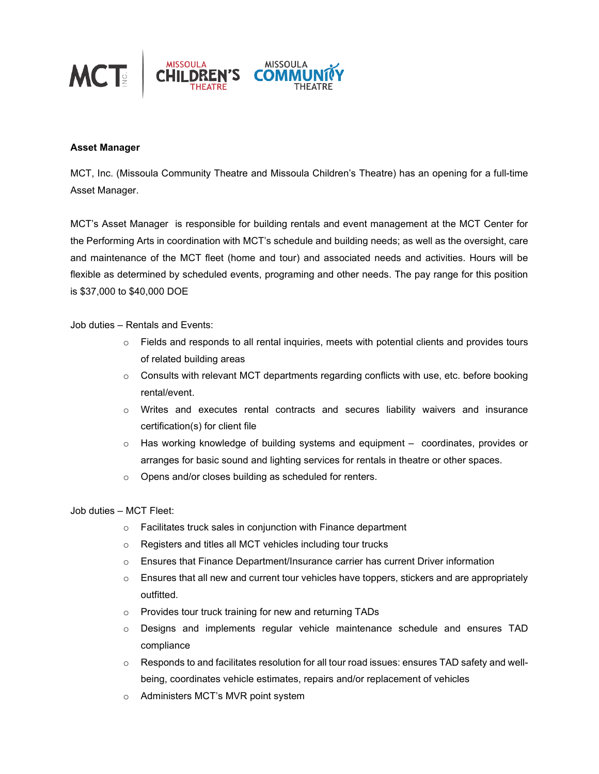

## **Asset Manager**

MCT, Inc. (Missoula Community Theatre and Missoula Children's Theatre) has an opening for a full-time Asset Manager.

MCT's Asset Manager is responsible for building rentals and event management at the MCT Center for the Performing Arts in coordination with MCT's schedule and building needs; as well as the oversight, care and maintenance of the MCT fleet (home and tour) and associated needs and activities. Hours will be flexible as determined by scheduled events, programing and other needs. The pay range for this position is \$37,000 to \$40,000 DOE

## Job duties – Rentals and Events:

- $\circ$  Fields and responds to all rental inquiries, meets with potential clients and provides tours of related building areas
- o Consults with relevant MCT departments regarding conflicts with use, etc. before booking rental/event.
- $\circ$  Writes and executes rental contracts and secures liability waivers and insurance certification(s) for client file
- $\circ$  Has working knowledge of building systems and equipment  $-$  coordinates, provides or arranges for basic sound and lighting services for rentals in theatre or other spaces.
- o Opens and/or closes building as scheduled for renters.

## Job duties – MCT Fleet:

- o Facilitates truck sales in conjunction with Finance department
- o Registers and titles all MCT vehicles including tour trucks
- $\circ$  Ensures that Finance Department/Insurance carrier has current Driver information
- $\circ$  Ensures that all new and current tour vehicles have toppers, stickers and are appropriately outfitted.
- o Provides tour truck training for new and returning TADs
- o Designs and implements regular vehicle maintenance schedule and ensures TAD compliance
- $\circ$  Responds to and facilitates resolution for all tour road issues: ensures TAD safety and wellbeing, coordinates vehicle estimates, repairs and/or replacement of vehicles
- o Administers MCT's MVR point system